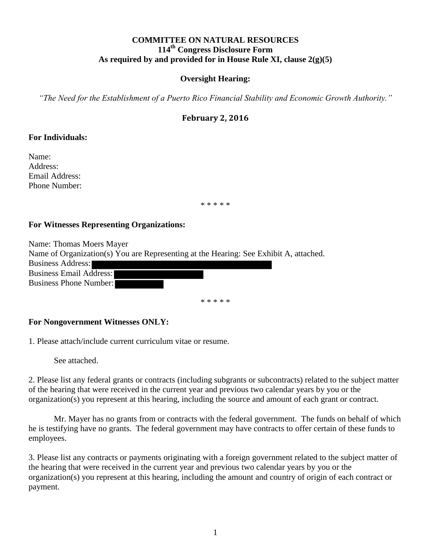## **COMMITTEE ON NATURAL RESOURCES 114th Congress Disclosure Form As required by and provided for in House Rule XI, clause 2(g)(5)**

## **Oversight Hearing:**

*"The Need for the Establishment of a Puerto Rico Financial Stability and Economic Growth Authority."*

## **February 2, 2016**

### **For Individuals:**

Name: Address: Email Address: Phone Number:

\* \* \* \* \*

#### **For Witnesses Representing Organizations:**

Name: Thomas Moers Mayer Name of Organization(s) You are Representing at the Hearing: See Exhibit A, attached. Business Address: Business Email Address: Business Phone Number:

\* \* \* \* \*

#### **For Nongovernment Witnesses ONLY:**

1. Please attach/include current curriculum vitae or resume.

See attached.

2. Please list any federal grants or contracts (including subgrants or subcontracts) related to the subject matter of the hearing that were received in the current year and previous two calendar years by you or the organization(s) you represent at this hearing, including the source and amount of each grant or contract.

Mr. Mayer has no grants from or contracts with the federal government. The funds on behalf of which he is testifying have no grants. The federal government may have contracts to offer certain of these funds to employees.

3. Please list any contracts or payments originating with a foreign government related to the subject matter of the hearing that were received in the current year and previous two calendar years by you or the organization(s) you represent at this hearing, including the amount and country of origin of each contract or payment.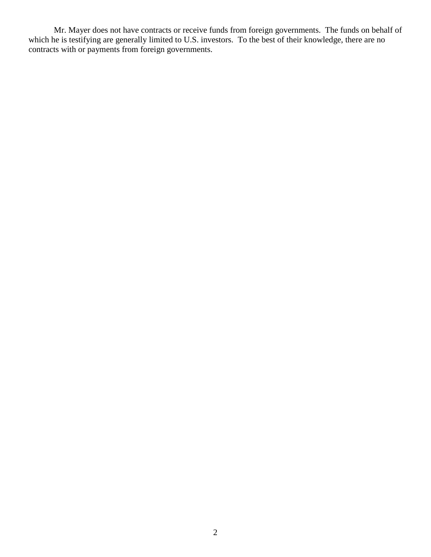Mr. Mayer does not have contracts or receive funds from foreign governments. The funds on behalf of which he is testifying are generally limited to U.S. investors. To the best of their knowledge, there are no contracts with or payments from foreign governments.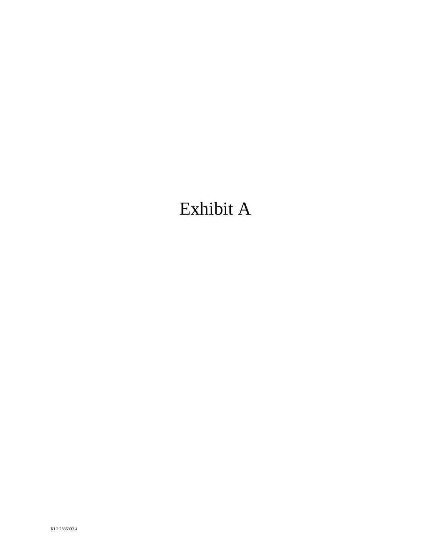# Exhibit A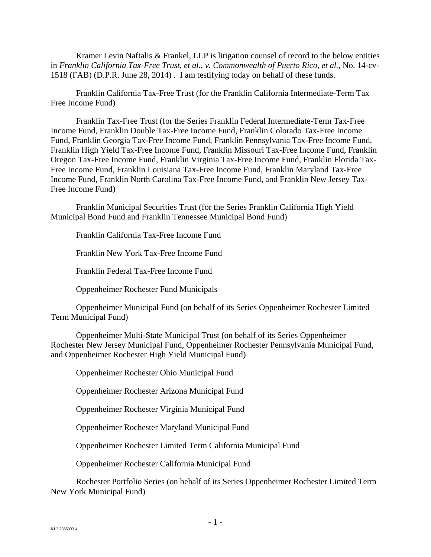Kramer Levin Naftalis & Frankel, LLP is litigation counsel of record to the below entities in *Franklin California Tax-Free Trust, et al., v. Commonwealth of Puerto Rico, et al.*, No. 14-cv-1518 (FAB) (D.P.R. June 28, 2014) . I am testifying today on behalf of these funds.

Franklin California Tax-Free Trust (for the Franklin California Intermediate-Term Tax Free Income Fund)

Franklin Tax-Free Trust (for the Series Franklin Federal Intermediate-Term Tax-Free Income Fund, Franklin Double Tax-Free Income Fund, Franklin Colorado Tax-Free Income Fund, Franklin Georgia Tax-Free Income Fund, Franklin Pennsylvania Tax-Free Income Fund, Franklin High Yield Tax-Free Income Fund, Franklin Missouri Tax-Free Income Fund, Franklin Oregon Tax-Free Income Fund, Franklin Virginia Tax-Free Income Fund, Franklin Florida Tax-Free Income Fund, Franklin Louisiana Tax-Free Income Fund, Franklin Maryland Tax-Free Income Fund, Franklin North Carolina Tax-Free Income Fund, and Franklin New Jersey Tax-Free Income Fund)

Franklin Municipal Securities Trust (for the Series Franklin California High Yield Municipal Bond Fund and Franklin Tennessee Municipal Bond Fund)

Franklin California Tax-Free Income Fund

Franklin New York Tax-Free Income Fund

Franklin Federal Tax-Free Income Fund

Oppenheimer Rochester Fund Municipals

Oppenheimer Municipal Fund (on behalf of its Series Oppenheimer Rochester Limited Term Municipal Fund)

Oppenheimer Multi-State Municipal Trust (on behalf of its Series Oppenheimer Rochester New Jersey Municipal Fund, Oppenheimer Rochester Pennsylvania Municipal Fund, and Oppenheimer Rochester High Yield Municipal Fund)

Oppenheimer Rochester Ohio Municipal Fund

Oppenheimer Rochester Arizona Municipal Fund

Oppenheimer Rochester Virginia Municipal Fund

Oppenheimer Rochester Maryland Municipal Fund

Oppenheimer Rochester Limited Term California Municipal Fund

Oppenheimer Rochester California Municipal Fund

Rochester Portfolio Series (on behalf of its Series Oppenheimer Rochester Limited Term New York Municipal Fund)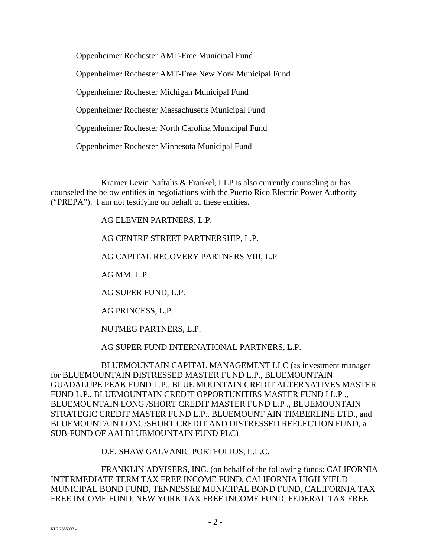Oppenheimer Rochester AMT-Free Municipal Fund Oppenheimer Rochester AMT-Free New York Municipal Fund Oppenheimer Rochester Michigan Municipal Fund Oppenheimer Rochester Massachusetts Municipal Fund Oppenheimer Rochester North Carolina Municipal Fund Oppenheimer Rochester Minnesota Municipal Fund

Kramer Levin Naftalis & Frankel, LLP is also currently counseling or has counseled the below entities in negotiations with the Puerto Rico Electric Power Authority ("PREPA"). I am not testifying on behalf of these entities.

AG ELEVEN PARTNERS, L.P.

AG CENTRE STREET PARTNERSHIP, L.P.

AG CAPITAL RECOVERY PARTNERS VIII, L.P

AG MM, L.P.

AG SUPER FUND, L.P.

AG PRINCESS, L.P.

NUTMEG PARTNERS, L.P.

AG SUPER FUND INTERNATIONAL PARTNERS, L.P.

BLUEMOUNTAIN CAPITAL MANAGEMENT LLC (as investment manager for BLUEMOUNTAIN DISTRESSED MASTER FUND L.P., BLUEMOUNTAIN GUADALUPE PEAK FUND L.P., BLUE MOUNTAIN CREDIT ALTERNATIVES MASTER FUND L.P., BLUEMOUNTAIN CREDIT OPPORTUNITIES MASTER FUND I L.P ., BLUEMOUNTAIN LONG /SHORT CREDIT MASTER FUND L.P ., BLUEMOUNTAIN STRATEGIC CREDIT MASTER FUND L.P., BLUEMOUNT AIN TIMBERLINE LTD., and BLUEMOUNTAIN LONG/SHORT CREDIT AND DISTRESSED REFLECTION FUND, a SUB-FUND OF AAI BLUEMOUNTAIN FUND PLC)

D.E. SHAW GALVANIC PORTFOLIOS, L.L.C.

FRANKLIN ADVISERS, INC. (on behalf of the following funds: CALIFORNIA INTERMEDIATE TERM TAX FREE INCOME FUND, CALIFORNIA HIGH YIELD MUNICIPAL BOND FUND, TENNESSEE MUNICIPAL BOND FUND, CALIFORNIA TAX FREE INCOME FUND, NEW YORK TAX FREE INCOME FUND, FEDERAL TAX FREE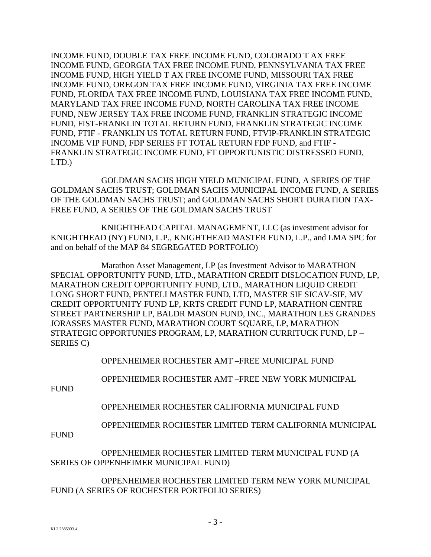INCOME FUND, DOUBLE TAX FREE INCOME FUND, COLORADO T AX FREE INCOME FUND, GEORGIA TAX FREE INCOME FUND, PENNSYLVANIA TAX FREE INCOME FUND, HIGH YIELD T AX FREE INCOME FUND, MISSOURI TAX FREE INCOME FUND, OREGON TAX FREE INCOME FUND, VIRGINIA TAX FREE INCOME FUND, FLORIDA TAX FREE INCOME FUND, LOUISIANA TAX FREE INCOME FUND, MARYLAND TAX FREE INCOME FUND, NORTH CAROLINA TAX FREE INCOME FUND, NEW JERSEY TAX FREE INCOME FUND, FRANKLIN STRATEGIC INCOME FUND, FIST-FRANKLIN TOTAL RETURN FUND, FRANKLIN STRATEGIC INCOME FUND, FTIF - FRANKLIN US TOTAL RETURN FUND, FTVIP-FRANKLIN STRATEGIC INCOME VIP FUND, FDP SERIES FT TOTAL RETURN FDP FUND, and FTIF - FRANKLIN STRATEGIC INCOME FUND, FT OPPORTUNISTIC DISTRESSED FUND, LTD.)

GOLDMAN SACHS HIGH YIELD MUNICIPAL FUND, A SERIES OF THE GOLDMAN SACHS TRUST; GOLDMAN SACHS MUNICIPAL INCOME FUND, A SERIES OF THE GOLDMAN SACHS TRUST; and GOLDMAN SACHS SHORT DURATION TAX-FREE FUND, A SERIES OF THE GOLDMAN SACHS TRUST

KNIGHTHEAD CAPITAL MANAGEMENT, LLC (as investment advisor for KNIGHTHEAD (NY) FUND, L.P., KNIGHTHEAD MASTER FUND, L.P., and LMA SPC for and on behalf of the MAP 84 SEGREGATED PORTFOLIO)

Marathon Asset Management, LP (as Investment Advisor to MARATHON SPECIAL OPPORTUNITY FUND, LTD., MARATHON CREDIT DISLOCATION FUND, LP, MARATHON CREDIT OPPORTUNITY FUND, LTD., MARATHON LIQUID CREDIT LONG SHORT FUND, PENTELI MASTER FUND, LTD, MASTER SIF SICAV-SIF, MV CREDIT OPPORTUNITY FUND LP, KRTS CREDIT FUND LP, MARATHON CENTRE STREET PARTNERSHIP LP, BALDR MASON FUND, INC., MARATHON LES GRANDES JORASSES MASTER FUND, MARATHON COURT SQUARE, LP, MARATHON STRATEGIC OPPORTUNIES PROGRAM, LP, MARATHON CURRITUCK FUND, LP – SERIES C)

OPPENHEIMER ROCHESTER AMT –FREE MUNICIPAL FUND

OPPENHEIMER ROCHESTER AMT –FREE NEW YORK MUNICIPAL

FUND

OPPENHEIMER ROCHESTER CALIFORNIA MUNICIPAL FUND

OPPENHEIMER ROCHESTER LIMITED TERM CALIFORNIA MUNICIPAL

**FUND** 

OPPENHEIMER ROCHESTER LIMITED TERM MUNICIPAL FUND (A SERIES OF OPPENHEIMER MUNICIPAL FUND)

OPPENHEIMER ROCHESTER LIMITED TERM NEW YORK MUNICIPAL FUND (A SERIES OF ROCHESTER PORTFOLIO SERIES)